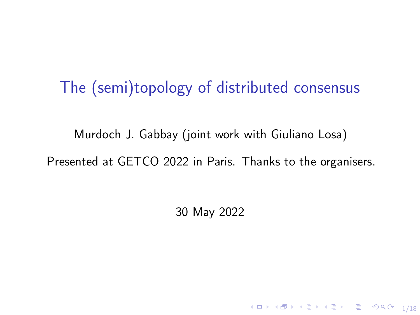## The (semi)topology of distributed consensus

[Murdoch J. Gabbay](http://www.gabbay.org.uk) (joint work with Giuliano Losa) [Presented at GETCO 2022](https://web.archive.org/web/20220524183106/http://www.lix.polytechnique.fr/Labo/Samuel.Mimram/getco22/#gabbay) in Paris. Thanks to the organisers.

30 May 2022

1/18 4 12 14 14 14 15 16 17 18 17 18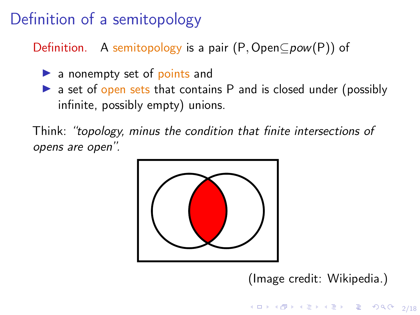# Definition of a semitopology

Definition. A semitopology is a pair  $(P, OpenCpow(P))$  of

- $\blacktriangleright$  a nonempty set of points and
- $\triangleright$  a set of open sets that contains P and is closed under (possibly infinite, possibly empty) unions.

Think: "topology, minus the condition that finite intersections of opens are open".



[\(Image credit: Wikipedia.\)](https://commons.wikimedia.org/w/index.php?curid=3437020)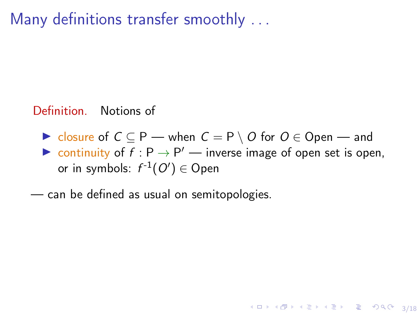Many definitions transfer smoothly . . .

#### Definition. Notions of

 $\triangleright$  closure of  $C \subseteq P$  — when  $C = P \setminus O$  for  $O \in$  Open — and ightharpoontinuity of  $f : P \to P'$  — inverse image of open set is open,

4 ロ ▶ 4 레 ▶ 4 로 ▶ 4 로 ▶ 그로 → 9 Q O + 3/18

- or in symbols:  $f^{-1}(O')\in \mathsf{Open}$
- can be defined as usual on semitopologies.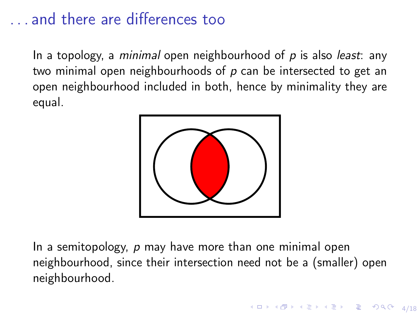## . . . and there are differences too

In a topology, a *minimal* open neighbourhood of  $p$  is also *least*: any two minimal open neighbourhoods of  $p$  can be intersected to get an open neighbourhood included in both, hence by minimality they are equal.



In a semitopology,  $p$  may have more than one minimal open neighbourhood, since their intersection need not be a (smaller) open neighbourhood.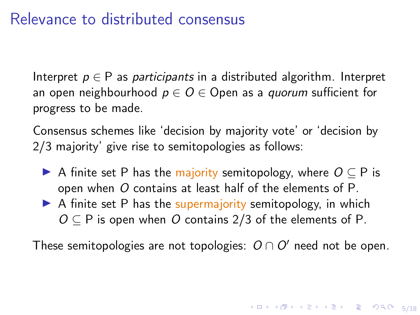### Relevance to distributed consensus

Interpret  $p \in P$  as participants in a distributed algorithm. Interpret an open neighbourhood  $p \in O \in$  Open as a *quorum* sufficient for progress to be made.

Consensus schemes like 'decision by majority vote' or 'decision by 2/3 majority' give rise to semitopologies as follows:

- A finite set P has the majority semitopology, where  $O \subseteq P$  is open when O contains at least half of the elements of P.
- $\triangleright$  A finite set P has the supermajority semitopology, in which  $O \subseteq P$  is open when O contains 2/3 of the elements of P.

These semitopologies are not topologies:  $O \cap O'$  need not be open.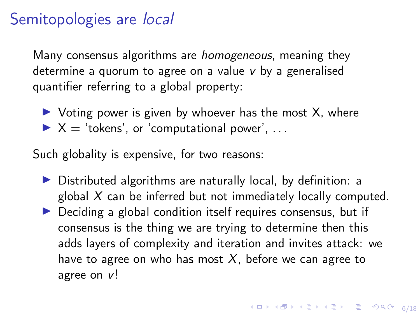## Semitopologies are *local*

Many consensus algorithms are *homogeneous*, meaning they determine a quorum to agree on a value v by a generalised quantifier referring to a global property:

 $\triangleright$  Voting power is given by whoever has the most X, where  $\triangleright$   $X =$  'tokens', or 'computational power', ...

Such globality is expensive, for two reasons:

- $\triangleright$  Distributed algorithms are naturally local, by definition: a global  $X$  can be inferred but not immediately locally computed.
- $\triangleright$  Deciding a global condition itself requires consensus, but if consensus is the thing we are trying to determine then this adds layers of complexity and iteration and invites attack: we have to agree on who has most  $X$ , before we can agree to agree on v!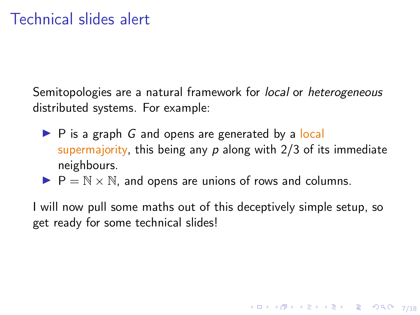Semitopologies are a natural framework for local or heterogeneous distributed systems. For example:

- $\triangleright$  P is a graph G and opens are generated by a local supermajority, this being any  $p$  along with  $2/3$  of its immediate neighbours.
- $P = N \times N$ , and opens are unions of rows and columns.

I will now pull some maths out of this deceptively simple setup, so get ready for some technical slides!

4 ロ ▶ 4 레 ▶ 4 로 ▶ 4 로 ▶ 그로 → 9 Q Q → 7/18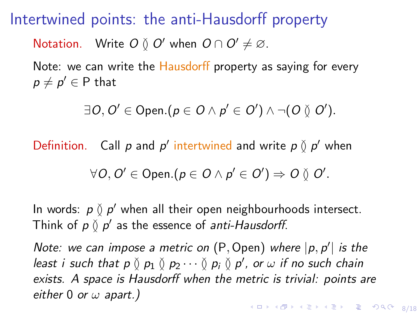Intertwined points: the anti-Hausdorff property

Notation. Write  $O \nvert O'$  when  $O \cap O' \neq \emptyset$ .

Note: we can write the Hausdorff property as saying for every  $p\neq p^{\prime}\in\mathsf{P}$  that

 $\exists O,O' \in \mathsf{Open}.(p \in O \land p' \in O') \land \neg(O \between O').$ 

Definition. Call  $p$  and  $p'$  intertwined and write  $p \nmid p'$  when

$$
\forall O, O' \in Open.(p \in O \land p' \in O') \Rightarrow O \veeset O'.
$$

In words:  $p \nmid p'$  when all their open neighbourhoods intersect. Think of  $p \nmid p'$  as the essence of anti-Hausdorff.

Note: we can impose a metric on (P, Open) where  $|p, p'|$  is the least i such that  $p \between p_1 \between p_2 \cdots \between p_i \between p'_i$ , or  $\omega$  if no such chain exists. A space is Hausdorff when the metric is trivial: points are either 0 or  $\omega$  apart.)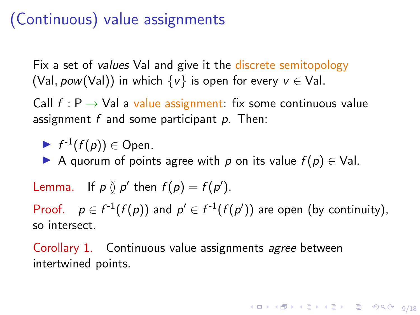## (Continuous) value assignments

Fix a set of *values* Val and give it the discrete semitopology (Val, pow(Val)) in which  $\{v\}$  is open for every  $v \in$  Val.

Call  $f: P \to \text{Val}$  a value assignment: fix some continuous value assignment  $f$  and some participant  $p$ . Then:

$$
\blacktriangleright f^{-1}(f(p)) \in \mathsf{Open}.
$$

A quorum of points agree with p on its value  $f(p) \in$  Val.

Lemma. If  $p \nsubseteq p'$  then  $f(p) = f(p')$ . Proof.  $p \in f^{-1}(f(p))$  and  $p' \in f^{-1}(f(p'))$  are open (by continuity), so intersect.

Corollary 1. Continuous value assignments agree between intertwined points.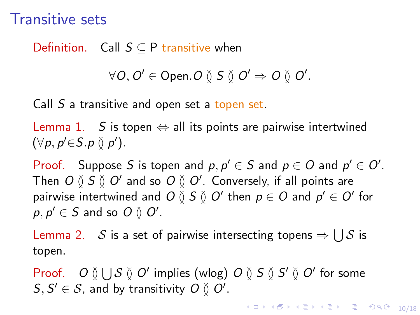## Transitive sets

#### Definition. Call  $S \subseteq P$  transitive when

$$
\forall O, O' \in \mathsf{Open}.O \mathbin{\&} S \mathbin{\&} O' \Rightarrow O \mathbin{\&} O'.
$$

Call S a transitive and open set a topen set.

Lemma 1. S is topen  $\Leftrightarrow$  all its points are pairwise intertwined  $(\forall p, p' \in S. p \vee p')$ .

Proof. Suppose S is topen and  $p, p' \in S$  and  $p \in O$  and  $p' \in O'$ . Then  $O\between S\between O'$  and so  $O\between O'$ . Conversely, if all points are pairwise intertwined and  $O\between S\between O'$  then  $\rho\in O$  and  $\rho'\in O'$  for  $p, p' \in S$  and so  $O \between O'$ .

Lemma 2.  $\;$   $\;$   $\;$  is a set of pairwise intersecting topens  $\Rightarrow$   $\cup$   $\;$   $\;$  is topen.

Proof. O  $\emptyset \bigcup S \emptyset O'$  implies (wlog) O  $\emptyset$  S  $\emptyset$  S'  $\emptyset$  O' for some  $S, S' \in \mathcal{S}$ , and by transitivity  $O \between O'.$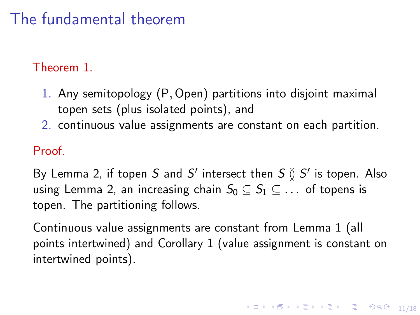# The fundamental theorem

#### Theorem 1.

- 1. Any semitopology (P, Open) partitions into disjoint maximal topen sets (plus isolated points), and
- 2. continuous value assignments are constant on each partition.

#### Proof.

By Lemma 2, if topen S and S' intersect then  $S \between S'$  is topen. Also using Lemma 2, an increasing chain  $S_0 \subset S_1 \subset \ldots$  of topens is topen. The partitioning follows.

Continuous value assignments are constant from Lemma 1 (all points intertwined) and Corollary 1 (value assignment is constant on intertwined points).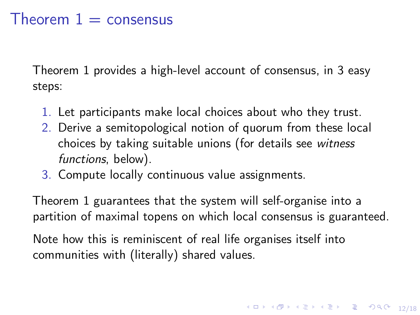## Theorem  $1 =$  consensus

Theorem 1 provides a high-level account of consensus, in 3 easy steps:

- 1. Let participants make local choices about who they trust.
- 2. Derive a semitopological notion of quorum from these local choices by taking suitable unions (for details see witness functions, below).
- 3. Compute locally continuous value assignments.

Theorem 1 guarantees that the system will self-organise into a partition of maximal topens on which local consensus is guaranteed.

Note how this is reminiscent of real life organises itself into communities with (literally) shared values.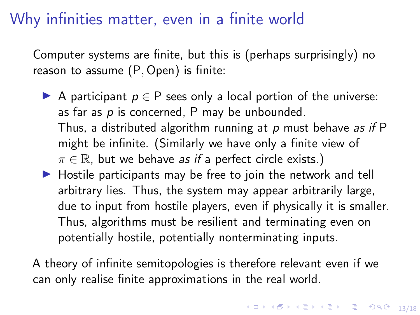## Why infinities matter, even in a finite world

Computer systems are finite, but this is (perhaps surprisingly) no reason to assume (P, Open) is finite:

- A participant  $p \in P$  sees only a local portion of the universe: as far as  $p$  is concerned, P may be unbounded. Thus, a distributed algorithm running at  $p$  must behave as if  $P$ might be infinite. (Similarly we have only a finite view of  $\pi \in \mathbb{R}$ , but we behave as if a perfect circle exists.)
- $\triangleright$  Hostile participants may be free to join the network and tell arbitrary lies. Thus, the system may appear arbitrarily large, due to input from hostile players, even if physically it is smaller. Thus, algorithms must be resilient and terminating even on potentially hostile, potentially nonterminating inputs.

A theory of infinite semitopologies is therefore relevant even if we can only realise finite approximations in the real world.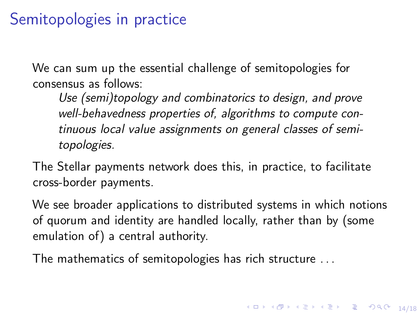## Semitopologies in practice

We can sum up the essential challenge of semitopologies for consensus as follows:

Use (semi)topology and combinatorics to design, and prove well-behavedness properties of, algorithms to compute continuous local value assignments on general classes of semitopologies.

The Stellar payments network does this, in practice, to facilitate cross-border payments.

We see broader applications to distributed systems in which notions of quorum and identity are handled locally, rather than by (some emulation of) a central authority.

The mathematics of semitopologies has rich structure . . .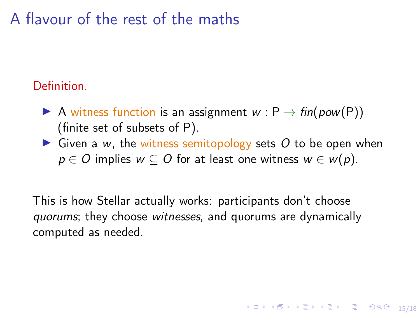## A flavour of the rest of the maths

### Definition.

- A witness function is an assignment  $w : P \rightarrow fin(pow(P))$ (finite set of subsets of P).
- $\triangleright$  Given a w, the witness semitopology sets O to be open when  $p \in O$  implies  $w \subseteq O$  for at least one witness  $w \in w(p)$ .

10 → 1日→ 1월 → 1월 → 1월 → 10 0 15/18

This is how Stellar actually works: participants don't choose quorums; they choose witnesses, and quorums are dynamically computed as needed.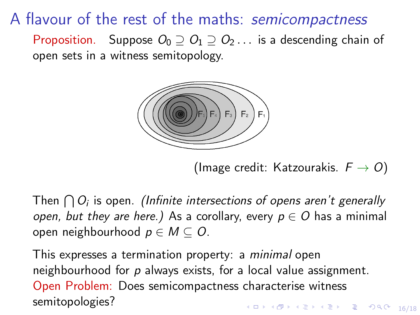A flavour of the rest of the maths: semicompactness

Proposition. Suppose  $O_0 \supseteq O_1 \supseteq O_2 \dots$  is a descending chain of open sets in a witness semitopology.



[\(Image credit: Katzourakis.](https://www.researchgate.net/profile/Nikos-Katzourakis/publication/321085532_An_Illustrative_Introduction_to_Modern_Analysis/links/5a27c73aaca2727dd883c956/An-Illustrative-Introduction-to-Modern-Analysis.pdf?origin=publication_detail)  $F \rightarrow O$ )

Then  $\bigcap O_i$  is open. (Infinite intersections of opens aren't generally open, but they are here.) As a corollary, every  $p \in O$  has a minimal open neighbourhood  $p \in M \subset O$ .

16/18 16/18 - 19 14 15 14 15 15 16 16 17 18 This expresses a termination property: a minimal open neighbourhood for p always exists, for a local value assignment. Open Problem: Does semicompactness characterise witness semitopologies?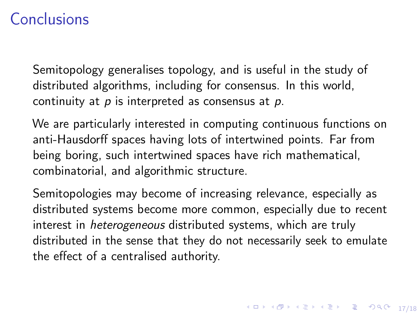## Conclusions

Semitopology generalises topology, and is useful in the study of distributed algorithms, including for consensus. In this world, continuity at  $p$  is interpreted as consensus at  $p$ .

We are particularly interested in computing continuous functions on anti-Hausdorff spaces having lots of intertwined points. Far from being boring, such intertwined spaces have rich mathematical, combinatorial, and algorithmic structure.

Semitopologies may become of increasing relevance, especially as distributed systems become more common, especially due to recent interest in *heterogeneous* distributed systems, which are truly distributed in the sense that they do not necessarily seek to emulate the effect of a centralised authority.